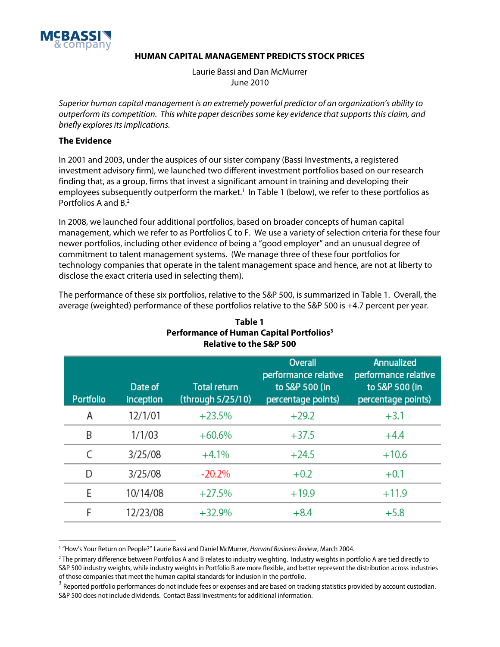

## **HUMAN CAPITAL MANAGEMENT PREDICTS STOCK PRICES**

Laurie Bassi and Dan McMurrer June 2010

Superior human capital management is an extremely powerful predictor of an organization's ability to outperform its competition. This white paper describes some key evidence that supports this claim, and briefly explores its implications.

## **The Evidence**

In 2001 and 2003, under the auspices of our sister company (Bassi Investments, a registered investment advisory firm), we launched two different investment portfolios based on our research finding that, as a group, firms that invest a significant amount in training and developing their employees subsequently outperform the market.<sup>1</sup> In Table 1 (below), we refer to these portfolios as Portfolios A and B.<sup>2</sup>

In 2008, we launched four additional portfolios, based on broader concepts of human capital management, which we refer to as Portfolios C to F. We use a variety of selection criteria for these four newer portfolios, including other evidence of being a "good employer" and an unusual degree of commitment to talent management systems. (We manage three of these four portfolios for technology companies that operate in the talent management space and hence, are not at liberty to disclose the exact criteria used in selecting them).

The performance of these six portfolios, relative to the S&P 500, is summarized in Table 1. Overall, the average (weighted) performance of these portfolios relative to the S&P 500 is +4.7 percent per year.

| <b>Portfolio</b> | Date of<br>inception | <b>Total return</b><br>(through 5/25/10) | Overall<br>performance relative<br>to S&P 500 (in<br>percentage points) | Annualized<br>performance relative<br>to S&P 500 (in<br>percentage points) |
|------------------|----------------------|------------------------------------------|-------------------------------------------------------------------------|----------------------------------------------------------------------------|
| Α                | 12/1/01              | $+23.5%$                                 | $+29.2$                                                                 | $+3.1$                                                                     |
| B                | 1/1/03               | $+60.6%$                                 | $+37.5$                                                                 | $+4.4$                                                                     |
| C                | 3/25/08              | $+4.1%$                                  | $+24.5$                                                                 | $+10.6$                                                                    |
| D                | 3/25/08              | $-20.2\%$                                | $+0.2$                                                                  | $+0.1$                                                                     |
| E                | 10/14/08             | $+27.5%$                                 | $+19.9$                                                                 | $+11.9$                                                                    |
| F                | 12/23/08             | $+32.9%$                                 | $+8.4$                                                                  | $+5.8$                                                                     |

## **Table 1 Performance of Human Capital Portfolios3 Relative to the S&P 500**

<sup>&</sup>lt;sup>1</sup> "How's Your Return on People?" Laurie Bassi and Daniel McMurrer, *Harvard Business Review,* March 2004.

<sup>2</sup> The primary difference between Portfolios A and B relates to industry weighting. Industry weights in portfolio A are tied directly to S&P 500 industry weights, while industry weights in Portfolio B are more flexible, and better represent the distribution across industries of those companies that meet the human capital standards for inclusion in the portfolio.<br><sup>3</sup> Reported portfolio performances do not include fees or expenses and are based on tracking statistics provided by account custodia

S&P 500 does not include dividends. Contact Bassi Investments for additional information.